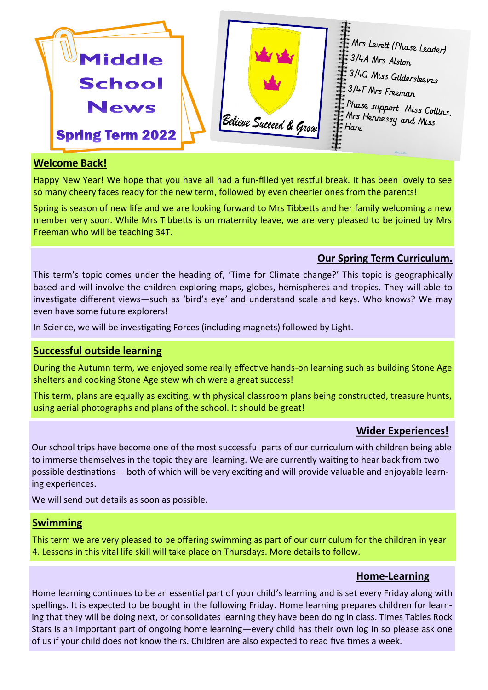

#### **Welcome Back!**

Happy New Year! We hope that you have all had a fun-filled yet restful break. It has been lovely to see so many cheery faces ready for the new term, followed by even cheerier ones from the parents!

Spring is season of new life and we are looking forward to Mrs Tibbetts and her family welcoming a new member very soon. While Mrs Tibbetts is on maternity leave, we are very pleased to be joined by Mrs Freeman who will be teaching 34T.

## **Our Spring Term Curriculum.**

This term's topic comes under the heading of, 'Time for Climate change?' This topic is geographically based and will involve the children exploring maps, globes, hemispheres and tropics. They will able to investigate different views—such as 'bird's eye' and understand scale and keys. Who knows? We may even have some future explorers!

In Science, we will be investigating Forces (including magnets) followed by Light.

### **Successful outside learning**

During the Autumn term, we enjoyed some really effective hands-on learning such as building Stone Age shelters and cooking Stone Age stew which were a great success!

This term, plans are equally as exciting, with physical classroom plans being constructed, treasure hunts, using aerial photographs and plans of the school. It should be great!

## **Wider Experiences!**

Our school trips have become one of the most successful parts of our curriculum with children being able to immerse themselves in the topic they are learning. We are currently waiting to hear back from two possible destinations— both of which will be very exciting and will provide valuable and enjoyable learning experiences.

We will send out details as soon as possible.

### **Swimming**

This term we are very pleased to be offering swimming as part of our curriculum for the children in year 4. Lessons in this vital life skill will take place on Thursdays. More details to follow.

### **Home-Learning**

Home learning continues to be an essential part of your child's learning and is set every Friday along with spellings. It is expected to be bought in the following Friday. Home learning prepares children for learning that they will be doing next, or consolidates learning they have been doing in class. Times Tables Rock Stars is an important part of ongoing home learning—every child has their own log in so please ask one of us if your child does not know theirs. Children are also expected to read five times a week.